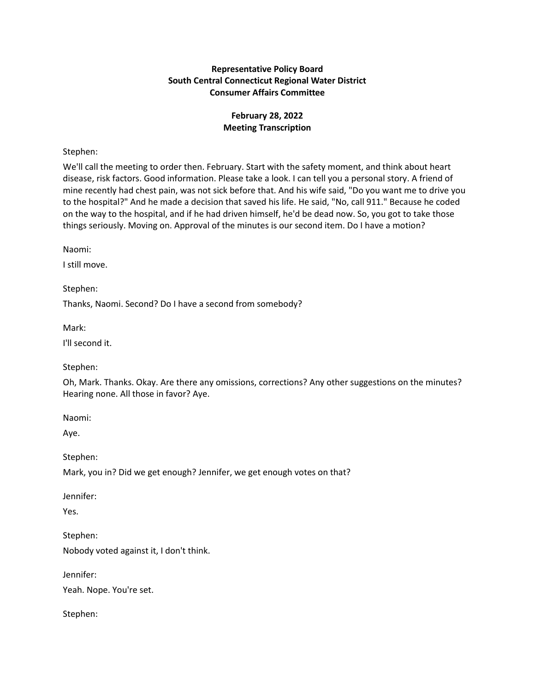# **Representative Policy Board South Central Connecticut Regional Water District Consumer Affairs Committee**

# **February 28, 2022 Meeting Transcription**

## Stephen:

We'll call the meeting to order then. February. Start with the safety moment, and think about heart disease, risk factors. Good information. Please take a look. I can tell you a personal story. A friend of mine recently had chest pain, was not sick before that. And his wife said, "Do you want me to drive you to the hospital?" And he made a decision that saved his life. He said, "No, call 911." Because he coded on the way to the hospital, and if he had driven himself, he'd be dead now. So, you got to take those things seriously. Moving on. Approval of the minutes is our second item. Do I have a motion?

Naomi:

I still move.

Stephen:

Thanks, Naomi. Second? Do I have a second from somebody?

Mark:

I'll second it.

Stephen:

Oh, Mark. Thanks. Okay. Are there any omissions, corrections? Any other suggestions on the minutes? Hearing none. All those in favor? Aye.

Naomi:

Aye.

Stephen:

Mark, you in? Did we get enough? Jennifer, we get enough votes on that?

Jennifer:

Yes.

Stephen: Nobody voted against it, I don't think.

Jennifer:

Yeah. Nope. You're set.

Stephen: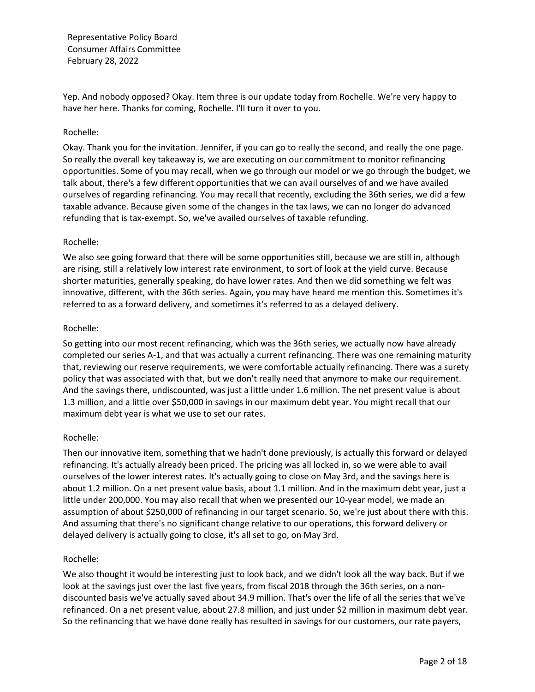Yep. And nobody opposed? Okay. Item three is our update today from Rochelle. We're very happy to have her here. Thanks for coming, Rochelle. I'll turn it over to you.

#### Rochelle:

Okay. Thank you for the invitation. Jennifer, if you can go to really the second, and really the one page. So really the overall key takeaway is, we are executing on our commitment to monitor refinancing opportunities. Some of you may recall, when we go through our model or we go through the budget, we talk about, there's a few different opportunities that we can avail ourselves of and we have availed ourselves of regarding refinancing. You may recall that recently, excluding the 36th series, we did a few taxable advance. Because given some of the changes in the tax laws, we can no longer do advanced refunding that is tax-exempt. So, we've availed ourselves of taxable refunding.

#### Rochelle:

We also see going forward that there will be some opportunities still, because we are still in, although are rising, still a relatively low interest rate environment, to sort of look at the yield curve. Because shorter maturities, generally speaking, do have lower rates. And then we did something we felt was innovative, different, with the 36th series. Again, you may have heard me mention this. Sometimes it's referred to as a forward delivery, and sometimes it's referred to as a delayed delivery.

#### Rochelle:

So getting into our most recent refinancing, which was the 36th series, we actually now have already completed our series A-1, and that was actually a current refinancing. There was one remaining maturity that, reviewing our reserve requirements, we were comfortable actually refinancing. There was a surety policy that was associated with that, but we don't really need that anymore to make our requirement. And the savings there, undiscounted, was just a little under 1.6 million. The net present value is about 1.3 million, and a little over \$50,000 in savings in our maximum debt year. You might recall that our maximum debt year is what we use to set our rates.

## Rochelle:

Then our innovative item, something that we hadn't done previously, is actually this forward or delayed refinancing. It's actually already been priced. The pricing was all locked in, so we were able to avail ourselves of the lower interest rates. It's actually going to close on May 3rd, and the savings here is about 1.2 million. On a net present value basis, about 1.1 million. And in the maximum debt year, just a little under 200,000. You may also recall that when we presented our 10-year model, we made an assumption of about \$250,000 of refinancing in our target scenario. So, we're just about there with this. And assuming that there's no significant change relative to our operations, this forward delivery or delayed delivery is actually going to close, it's all set to go, on May 3rd.

## Rochelle:

We also thought it would be interesting just to look back, and we didn't look all the way back. But if we look at the savings just over the last five years, from fiscal 2018 through the 36th series, on a nondiscounted basis we've actually saved about 34.9 million. That's over the life of all the series that we've refinanced. On a net present value, about 27.8 million, and just under \$2 million in maximum debt year. So the refinancing that we have done really has resulted in savings for our customers, our rate payers,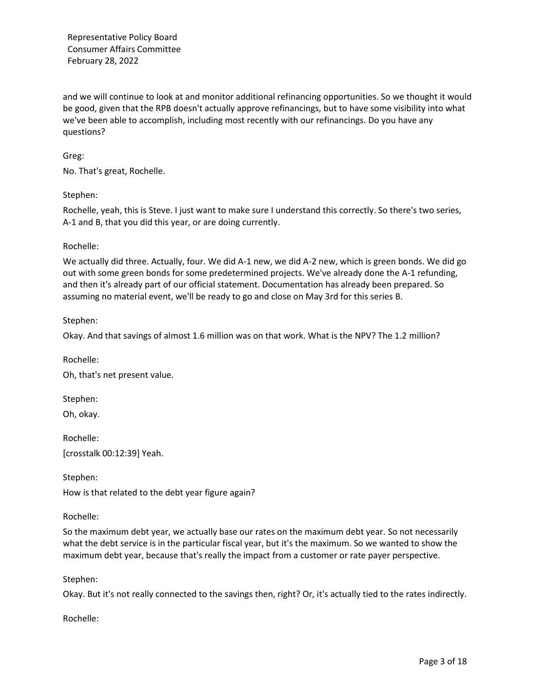and we will continue to look at and monitor additional refinancing opportunities. So we thought it would be good, given that the RPB doesn't actually approve refinancings, but to have some visibility into what we've been able to accomplish, including most recently with our refinancings. Do you have any questions?

## Greg:

No. That's great, Rochelle.

#### Stephen:

Rochelle, yeah, this is Steve. I just want to make sure I understand this correctly. So there's two series, A-1 and B, that you did this year, or are doing currently.

#### Rochelle:

We actually did three. Actually, four. We did A-1 new, we did A-2 new, which is green bonds. We did go out with some green bonds for some predetermined projects. We've already done the A-1 refunding, and then it's already part of our official statement. Documentation has already been prepared. So assuming no material event, we'll be ready to go and close on May 3rd for this series B.

#### Stephen:

Okay. And that savings of almost 1.6 million was on that work. What is the NPV? The 1.2 million?

Rochelle: Oh, that's net present value.

Stephen:

Oh, okay.

Rochelle: [crosstalk 00:12:39] Yeah.

Stephen:

How is that related to the debt year figure again?

#### Rochelle:

So the maximum debt year, we actually base our rates on the maximum debt year. So not necessarily what the debt service is in the particular fiscal year, but it's the maximum. So we wanted to show the maximum debt year, because that's really the impact from a customer or rate payer perspective.

## Stephen:

Okay. But it's not really connected to the savings then, right? Or, it's actually tied to the rates indirectly.

Rochelle: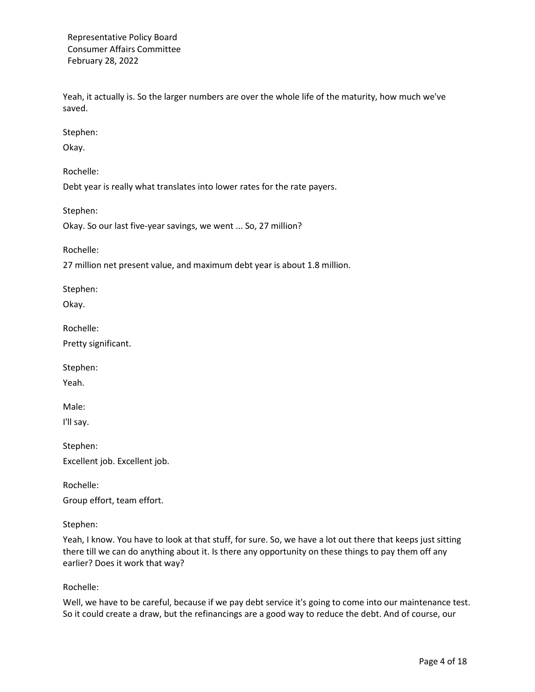Yeah, it actually is. So the larger numbers are over the whole life of the maturity, how much we've saved.

Stephen:

Okay.

Rochelle:

Debt year is really what translates into lower rates for the rate payers.

Stephen:

Okay. So our last five-year savings, we went ... So, 27 million?

Rochelle:

27 million net present value, and maximum debt year is about 1.8 million.

Stephen:

Okay.

Rochelle:

Pretty significant.

Stephen:

Yeah.

Male:

I'll say.

Stephen: Excellent job. Excellent job.

Rochelle: Group effort, team effort.

#### Stephen:

Yeah, I know. You have to look at that stuff, for sure. So, we have a lot out there that keeps just sitting there till we can do anything about it. Is there any opportunity on these things to pay them off any earlier? Does it work that way?

Rochelle:

Well, we have to be careful, because if we pay debt service it's going to come into our maintenance test. So it could create a draw, but the refinancings are a good way to reduce the debt. And of course, our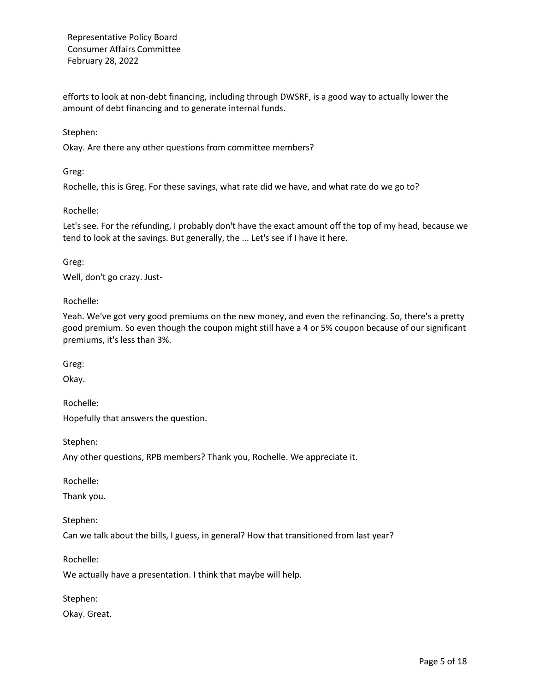efforts to look at non-debt financing, including through DWSRF, is a good way to actually lower the amount of debt financing and to generate internal funds.

#### Stephen:

Okay. Are there any other questions from committee members?

Greg:

Rochelle, this is Greg. For these savings, what rate did we have, and what rate do we go to?

#### Rochelle:

Let's see. For the refunding, I probably don't have the exact amount off the top of my head, because we tend to look at the savings. But generally, the ... Let's see if I have it here.

Greg: Well, don't go crazy. Just-

Rochelle:

Yeah. We've got very good premiums on the new money, and even the refinancing. So, there's a pretty good premium. So even though the coupon might still have a 4 or 5% coupon because of our significant premiums, it's less than 3%.

Greg:

Okay.

Rochelle:

Hopefully that answers the question.

Stephen:

Any other questions, RPB members? Thank you, Rochelle. We appreciate it.

Rochelle:

Thank you.

Stephen:

Can we talk about the bills, I guess, in general? How that transitioned from last year?

Rochelle:

We actually have a presentation. I think that maybe will help.

Stephen:

Okay. Great.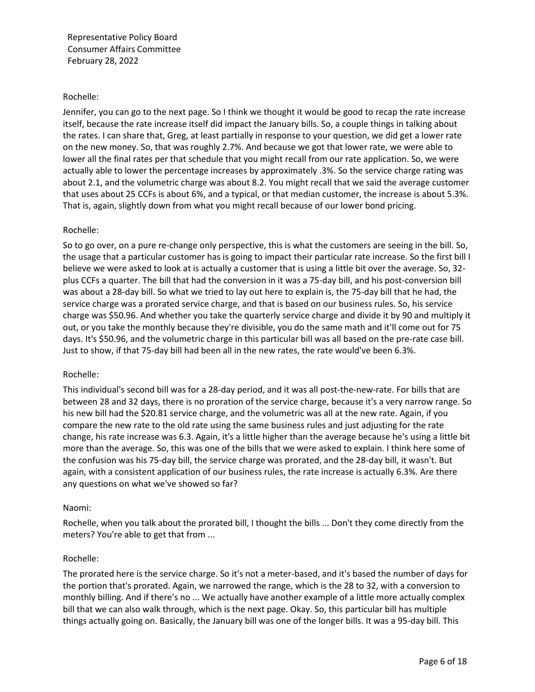#### Rochelle:

Jennifer, you can go to the next page. So I think we thought it would be good to recap the rate increase itself, because the rate increase itself did impact the January bills. So, a couple things in talking about the rates. I can share that, Greg, at least partially in response to your question, we did get a lower rate on the new money. So, that was roughly 2.7%. And because we got that lower rate, we were able to lower all the final rates per that schedule that you might recall from our rate application. So, we were actually able to lower the percentage increases by approximately .3%. So the service charge rating was about 2.1, and the volumetric charge was about 8.2. You might recall that we said the average customer that uses about 25 CCFs is about 6%, and a typical, or that median customer, the increase is about 5.3%. That is, again, slightly down from what you might recall because of our lower bond pricing.

#### Rochelle:

So to go over, on a pure re-change only perspective, this is what the customers are seeing in the bill. So, the usage that a particular customer has is going to impact their particular rate increase. So the first bill I believe we were asked to look at is actually a customer that is using a little bit over the average. So, 32 plus CCFs a quarter. The bill that had the conversion in it was a 75-day bill, and his post-conversion bill was about a 28-day bill. So what we tried to lay out here to explain is, the 75-day bill that he had, the service charge was a prorated service charge, and that is based on our business rules. So, his service charge was \$50.96. And whether you take the quarterly service charge and divide it by 90 and multiply it out, or you take the monthly because they're divisible, you do the same math and it'll come out for 75 days. It's \$50.96, and the volumetric charge in this particular bill was all based on the pre-rate case bill. Just to show, if that 75-day bill had been all in the new rates, the rate would've been 6.3%.

#### Rochelle:

This individual's second bill was for a 28-day period, and it was all post-the-new-rate. For bills that are between 28 and 32 days, there is no proration of the service charge, because it's a very narrow range. So his new bill had the \$20.81 service charge, and the volumetric was all at the new rate. Again, if you compare the new rate to the old rate using the same business rules and just adjusting for the rate change, his rate increase was 6.3. Again, it's a little higher than the average because he's using a little bit more than the average. So, this was one of the bills that we were asked to explain. I think here some of the confusion was his 75-day bill, the service charge was prorated, and the 28-day bill, it wasn't. But again, with a consistent application of our business rules, the rate increase is actually 6.3%. Are there any questions on what we've showed so far?

#### Naomi:

Rochelle, when you talk about the prorated bill, I thought the bills ... Don't they come directly from the meters? You're able to get that from ...

#### Rochelle:

The prorated here is the service charge. So it's not a meter-based, and it's based the number of days for the portion that's prorated. Again, we narrowed the range, which is the 28 to 32, with a conversion to monthly billing. And if there's no ... We actually have another example of a little more actually complex bill that we can also walk through, which is the next page. Okay. So, this particular bill has multiple things actually going on. Basically, the January bill was one of the longer bills. It was a 95-day bill. This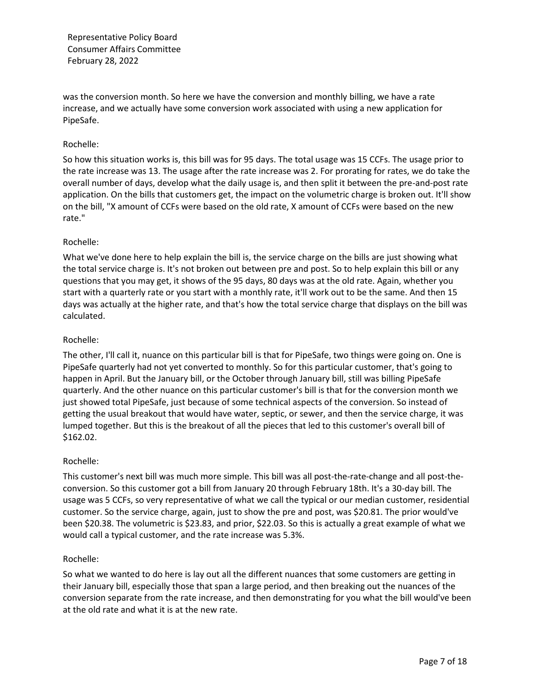was the conversion month. So here we have the conversion and monthly billing, we have a rate increase, and we actually have some conversion work associated with using a new application for PipeSafe.

## Rochelle:

So how this situation works is, this bill was for 95 days. The total usage was 15 CCFs. The usage prior to the rate increase was 13. The usage after the rate increase was 2. For prorating for rates, we do take the overall number of days, develop what the daily usage is, and then split it between the pre-and-post rate application. On the bills that customers get, the impact on the volumetric charge is broken out. It'll show on the bill, "X amount of CCFs were based on the old rate, X amount of CCFs were based on the new rate."

# Rochelle:

What we've done here to help explain the bill is, the service charge on the bills are just showing what the total service charge is. It's not broken out between pre and post. So to help explain this bill or any questions that you may get, it shows of the 95 days, 80 days was at the old rate. Again, whether you start with a quarterly rate or you start with a monthly rate, it'll work out to be the same. And then 15 days was actually at the higher rate, and that's how the total service charge that displays on the bill was calculated.

# Rochelle:

The other, I'll call it, nuance on this particular bill is that for PipeSafe, two things were going on. One is PipeSafe quarterly had not yet converted to monthly. So for this particular customer, that's going to happen in April. But the January bill, or the October through January bill, still was billing PipeSafe quarterly. And the other nuance on this particular customer's bill is that for the conversion month we just showed total PipeSafe, just because of some technical aspects of the conversion. So instead of getting the usual breakout that would have water, septic, or sewer, and then the service charge, it was lumped together. But this is the breakout of all the pieces that led to this customer's overall bill of \$162.02.

## Rochelle:

This customer's next bill was much more simple. This bill was all post-the-rate-change and all post-theconversion. So this customer got a bill from January 20 through February 18th. It's a 30-day bill. The usage was 5 CCFs, so very representative of what we call the typical or our median customer, residential customer. So the service charge, again, just to show the pre and post, was \$20.81. The prior would've been \$20.38. The volumetric is \$23.83, and prior, \$22.03. So this is actually a great example of what we would call a typical customer, and the rate increase was 5.3%.

## Rochelle:

So what we wanted to do here is lay out all the different nuances that some customers are getting in their January bill, especially those that span a large period, and then breaking out the nuances of the conversion separate from the rate increase, and then demonstrating for you what the bill would've been at the old rate and what it is at the new rate.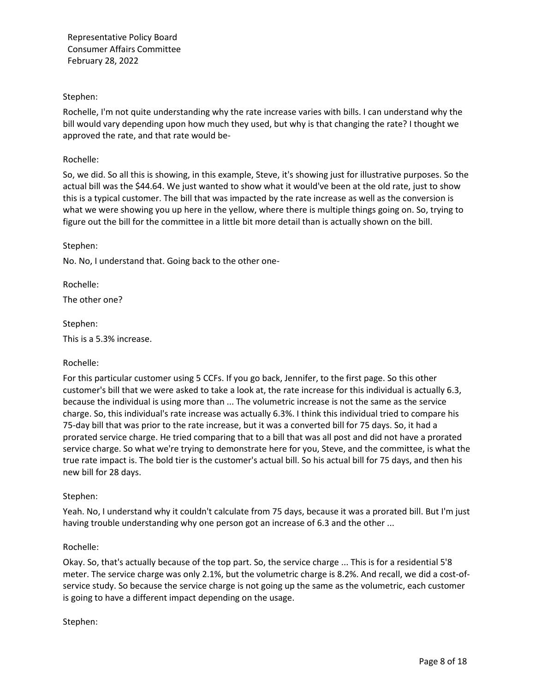## Stephen:

Rochelle, I'm not quite understanding why the rate increase varies with bills. I can understand why the bill would vary depending upon how much they used, but why is that changing the rate? I thought we approved the rate, and that rate would be-

## Rochelle:

So, we did. So all this is showing, in this example, Steve, it's showing just for illustrative purposes. So the actual bill was the \$44.64. We just wanted to show what it would've been at the old rate, just to show this is a typical customer. The bill that was impacted by the rate increase as well as the conversion is what we were showing you up here in the yellow, where there is multiple things going on. So, trying to figure out the bill for the committee in a little bit more detail than is actually shown on the bill.

#### Stephen:

No. No, I understand that. Going back to the other one-

Rochelle:

The other one?

Stephen:

This is a 5.3% increase.

## Rochelle:

For this particular customer using 5 CCFs. If you go back, Jennifer, to the first page. So this other customer's bill that we were asked to take a look at, the rate increase for this individual is actually 6.3, because the individual is using more than ... The volumetric increase is not the same as the service charge. So, this individual's rate increase was actually 6.3%. I think this individual tried to compare his 75-day bill that was prior to the rate increase, but it was a converted bill for 75 days. So, it had a prorated service charge. He tried comparing that to a bill that was all post and did not have a prorated service charge. So what we're trying to demonstrate here for you, Steve, and the committee, is what the true rate impact is. The bold tier is the customer's actual bill. So his actual bill for 75 days, and then his new bill for 28 days.

## Stephen:

Yeah. No, I understand why it couldn't calculate from 75 days, because it was a prorated bill. But I'm just having trouble understanding why one person got an increase of 6.3 and the other ...

#### Rochelle:

Okay. So, that's actually because of the top part. So, the service charge ... This is for a residential 5'8 meter. The service charge was only 2.1%, but the volumetric charge is 8.2%. And recall, we did a cost-ofservice study. So because the service charge is not going up the same as the volumetric, each customer is going to have a different impact depending on the usage.

## Stephen: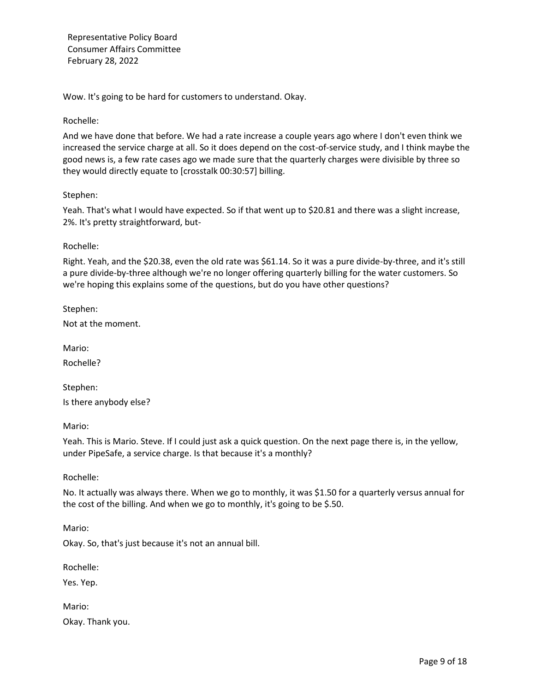Wow. It's going to be hard for customers to understand. Okay.

## Rochelle:

And we have done that before. We had a rate increase a couple years ago where I don't even think we increased the service charge at all. So it does depend on the cost-of-service study, and I think maybe the good news is, a few rate cases ago we made sure that the quarterly charges were divisible by three so they would directly equate to [crosstalk 00:30:57] billing.

#### Stephen:

Yeah. That's what I would have expected. So if that went up to \$20.81 and there was a slight increase, 2%. It's pretty straightforward, but-

#### Rochelle:

Right. Yeah, and the \$20.38, even the old rate was \$61.14. So it was a pure divide-by-three, and it's still a pure divide-by-three although we're no longer offering quarterly billing for the water customers. So we're hoping this explains some of the questions, but do you have other questions?

Stephen:

Not at the moment.

Mario: Rochelle?

Stephen: Is there anybody else?

Mario:

Yeah. This is Mario. Steve. If I could just ask a quick question. On the next page there is, in the yellow, under PipeSafe, a service charge. Is that because it's a monthly?

Rochelle:

No. It actually was always there. When we go to monthly, it was \$1.50 for a quarterly versus annual for the cost of the billing. And when we go to monthly, it's going to be \$.50.

Mario:

Okay. So, that's just because it's not an annual bill.

Rochelle:

Yes. Yep.

Mario:

Okay. Thank you.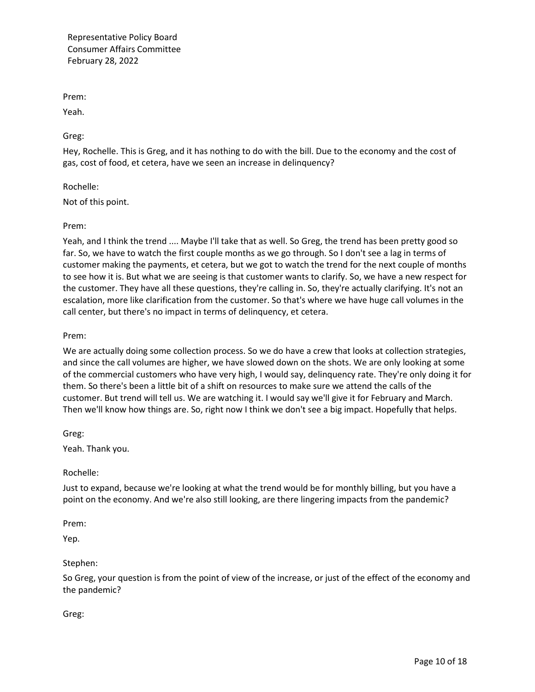Prem:

Yeah.

Greg:

Hey, Rochelle. This is Greg, and it has nothing to do with the bill. Due to the economy and the cost of gas, cost of food, et cetera, have we seen an increase in delinquency?

Rochelle:

Not of this point.

#### Prem:

Yeah, and I think the trend .... Maybe I'll take that as well. So Greg, the trend has been pretty good so far. So, we have to watch the first couple months as we go through. So I don't see a lag in terms of customer making the payments, et cetera, but we got to watch the trend for the next couple of months to see how it is. But what we are seeing is that customer wants to clarify. So, we have a new respect for the customer. They have all these questions, they're calling in. So, they're actually clarifying. It's not an escalation, more like clarification from the customer. So that's where we have huge call volumes in the call center, but there's no impact in terms of delinquency, et cetera.

#### Prem:

We are actually doing some collection process. So we do have a crew that looks at collection strategies, and since the call volumes are higher, we have slowed down on the shots. We are only looking at some of the commercial customers who have very high, I would say, delinquency rate. They're only doing it for them. So there's been a little bit of a shift on resources to make sure we attend the calls of the customer. But trend will tell us. We are watching it. I would say we'll give it for February and March. Then we'll know how things are. So, right now I think we don't see a big impact. Hopefully that helps.

Greg:

Yeah. Thank you.

Rochelle:

Just to expand, because we're looking at what the trend would be for monthly billing, but you have a point on the economy. And we're also still looking, are there lingering impacts from the pandemic?

Prem:

Yep.

#### Stephen:

So Greg, your question is from the point of view of the increase, or just of the effect of the economy and the pandemic?

Greg: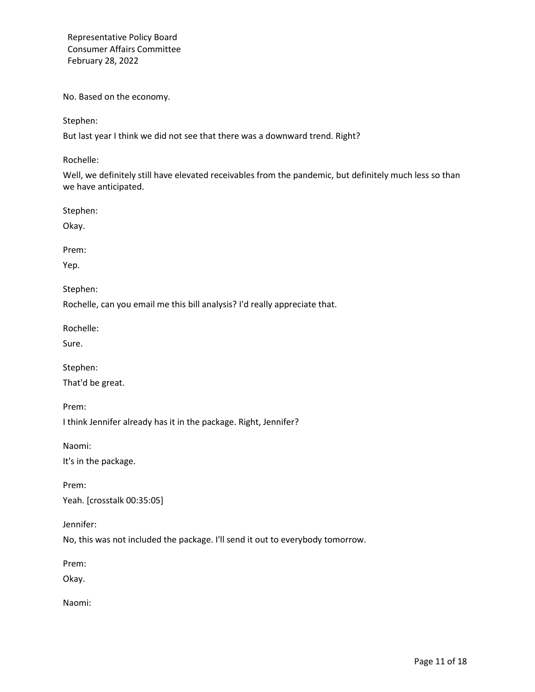No. Based on the economy.

Stephen:

But last year I think we did not see that there was a downward trend. Right?

Rochelle:

Well, we definitely still have elevated receivables from the pandemic, but definitely much less so than we have anticipated.

Stephen:

Okay.

Prem:

Yep.

Stephen:

Rochelle, can you email me this bill analysis? I'd really appreciate that.

Rochelle:

Sure.

Stephen:

That'd be great.

Prem:

I think Jennifer already has it in the package. Right, Jennifer?

Naomi:

It's in the package.

Prem: Yeah. [crosstalk 00:35:05]

Jennifer:

No, this was not included the package. I'll send it out to everybody tomorrow.

Prem:

Okay.

Naomi: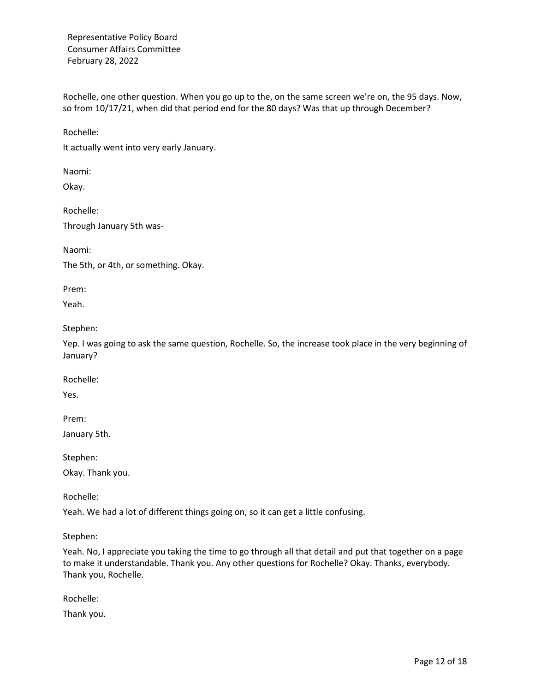Rochelle, one other question. When you go up to the, on the same screen we're on, the 95 days. Now, so from 10/17/21, when did that period end for the 80 days? Was that up through December?

Rochelle:

It actually went into very early January.

Naomi:

Okay.

Rochelle: Through January 5th was-

Naomi:

The 5th, or 4th, or something. Okay.

Prem:

Yeah.

Stephen:

Yep. I was going to ask the same question, Rochelle. So, the increase took place in the very beginning of January?

Rochelle:

Yes.

Prem:

January 5th.

Stephen:

Okay. Thank you.

Rochelle:

Yeah. We had a lot of different things going on, so it can get a little confusing.

Stephen:

Yeah. No, I appreciate you taking the time to go through all that detail and put that together on a page to make it understandable. Thank you. Any other questions for Rochelle? Okay. Thanks, everybody. Thank you, Rochelle.

Rochelle:

Thank you.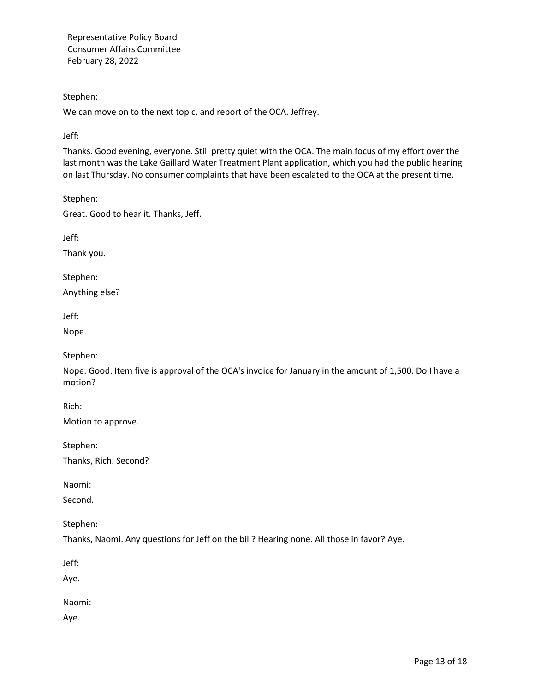Stephen:

We can move on to the next topic, and report of the OCA. Jeffrey.

Jeff:

Thanks. Good evening, everyone. Still pretty quiet with the OCA. The main focus of my effort over the last month was the Lake Gaillard Water Treatment Plant application, which you had the public hearing on last Thursday. No consumer complaints that have been escalated to the OCA at the present time.

Stephen:

Great. Good to hear it. Thanks, Jeff.

Jeff:

Thank you.

Stephen:

Anything else?

Jeff:

Nope.

Stephen:

Nope. Good. Item five is approval of the OCA's invoice for January in the amount of 1,500. Do I have a motion?

Rich:

Motion to approve.

Stephen:

Thanks, Rich. Second?

Naomi:

Second.

Stephen:

Thanks, Naomi. Any questions for Jeff on the bill? Hearing none. All those in favor? Aye.

Jeff:

Aye.

Naomi:

Aye.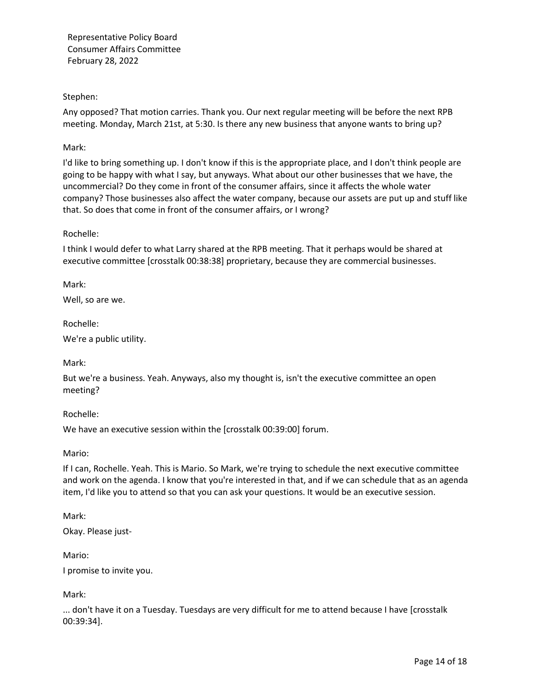## Stephen:

Any opposed? That motion carries. Thank you. Our next regular meeting will be before the next RPB meeting. Monday, March 21st, at 5:30. Is there any new business that anyone wants to bring up?

## Mark:

I'd like to bring something up. I don't know if this is the appropriate place, and I don't think people are going to be happy with what I say, but anyways. What about our other businesses that we have, the uncommercial? Do they come in front of the consumer affairs, since it affects the whole water company? Those businesses also affect the water company, because our assets are put up and stuff like that. So does that come in front of the consumer affairs, or I wrong?

## Rochelle:

I think I would defer to what Larry shared at the RPB meeting. That it perhaps would be shared at executive committee [crosstalk 00:38:38] proprietary, because they are commercial businesses.

Mark:

Well, so are we.

Rochelle:

We're a public utility.

Mark:

But we're a business. Yeah. Anyways, also my thought is, isn't the executive committee an open meeting?

Rochelle:

We have an executive session within the [crosstalk 00:39:00] forum.

Mario:

If I can, Rochelle. Yeah. This is Mario. So Mark, we're trying to schedule the next executive committee and work on the agenda. I know that you're interested in that, and if we can schedule that as an agenda item, I'd like you to attend so that you can ask your questions. It would be an executive session.

Mark:

Okay. Please just-

Mario:

I promise to invite you.

Mark:

... don't have it on a Tuesday. Tuesdays are very difficult for me to attend because I have [crosstalk 00:39:34].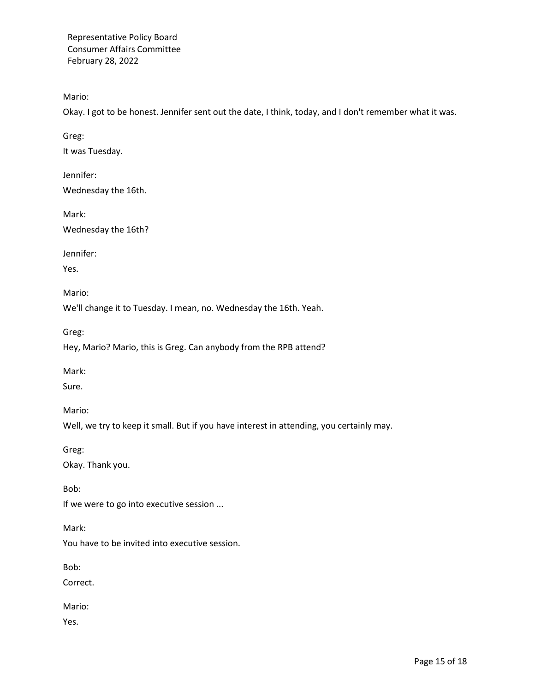Mario:

Okay. I got to be honest. Jennifer sent out the date, I think, today, and I don't remember what it was.

Greg:

It was Tuesday.

Jennifer: Wednesday the 16th.

Mark:

Wednesday the 16th?

Jennifer:

Yes.

Mario:

We'll change it to Tuesday. I mean, no. Wednesday the 16th. Yeah.

Greg:

Hey, Mario? Mario, this is Greg. Can anybody from the RPB attend?

Mark:

Sure.

Mario:

Well, we try to keep it small. But if you have interest in attending, you certainly may.

Greg:

Okay. Thank you.

Bob:

If we were to go into executive session ...

Mark:

You have to be invited into executive session.

Bob:

Correct.

Mario:

Yes.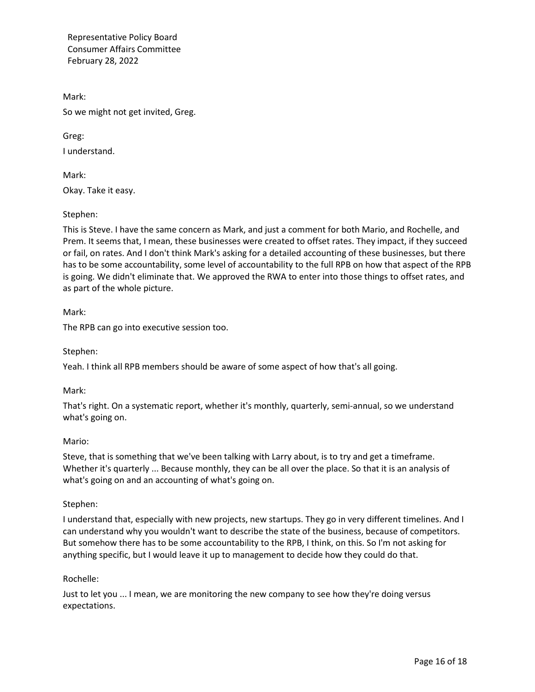Mark: So we might not get invited, Greg.

Greg: I understand.

Mark: Okay. Take it easy.

# Stephen:

This is Steve. I have the same concern as Mark, and just a comment for both Mario, and Rochelle, and Prem. It seems that, I mean, these businesses were created to offset rates. They impact, if they succeed or fail, on rates. And I don't think Mark's asking for a detailed accounting of these businesses, but there has to be some accountability, some level of accountability to the full RPB on how that aspect of the RPB is going. We didn't eliminate that. We approved the RWA to enter into those things to offset rates, and as part of the whole picture.

## Mark:

The RPB can go into executive session too.

Stephen:

Yeah. I think all RPB members should be aware of some aspect of how that's all going.

Mark:

That's right. On a systematic report, whether it's monthly, quarterly, semi-annual, so we understand what's going on.

## Mario:

Steve, that is something that we've been talking with Larry about, is to try and get a timeframe. Whether it's quarterly ... Because monthly, they can be all over the place. So that it is an analysis of what's going on and an accounting of what's going on.

## Stephen:

I understand that, especially with new projects, new startups. They go in very different timelines. And I can understand why you wouldn't want to describe the state of the business, because of competitors. But somehow there has to be some accountability to the RPB, I think, on this. So I'm not asking for anything specific, but I would leave it up to management to decide how they could do that.

## Rochelle:

Just to let you ... I mean, we are monitoring the new company to see how they're doing versus expectations.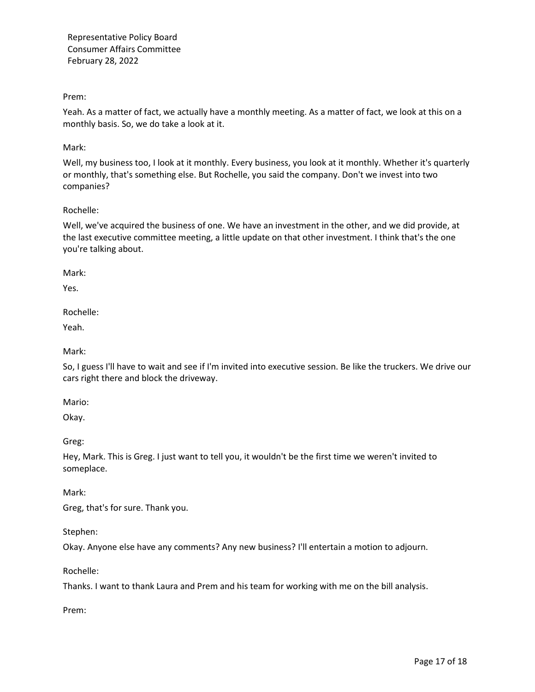Prem:

Yeah. As a matter of fact, we actually have a monthly meeting. As a matter of fact, we look at this on a monthly basis. So, we do take a look at it.

Mark:

Well, my business too, I look at it monthly. Every business, you look at it monthly. Whether it's quarterly or monthly, that's something else. But Rochelle, you said the company. Don't we invest into two companies?

## Rochelle:

Well, we've acquired the business of one. We have an investment in the other, and we did provide, at the last executive committee meeting, a little update on that other investment. I think that's the one you're talking about.

Mark:

Yes.

Rochelle:

Yeah.

Mark:

So, I guess I'll have to wait and see if I'm invited into executive session. Be like the truckers. We drive our cars right there and block the driveway.

Mario:

Okay.

Greg:

Hey, Mark. This is Greg. I just want to tell you, it wouldn't be the first time we weren't invited to someplace.

Mark:

Greg, that's for sure. Thank you.

Stephen:

Okay. Anyone else have any comments? Any new business? I'll entertain a motion to adjourn.

Rochelle:

Thanks. I want to thank Laura and Prem and his team for working with me on the bill analysis.

Prem: